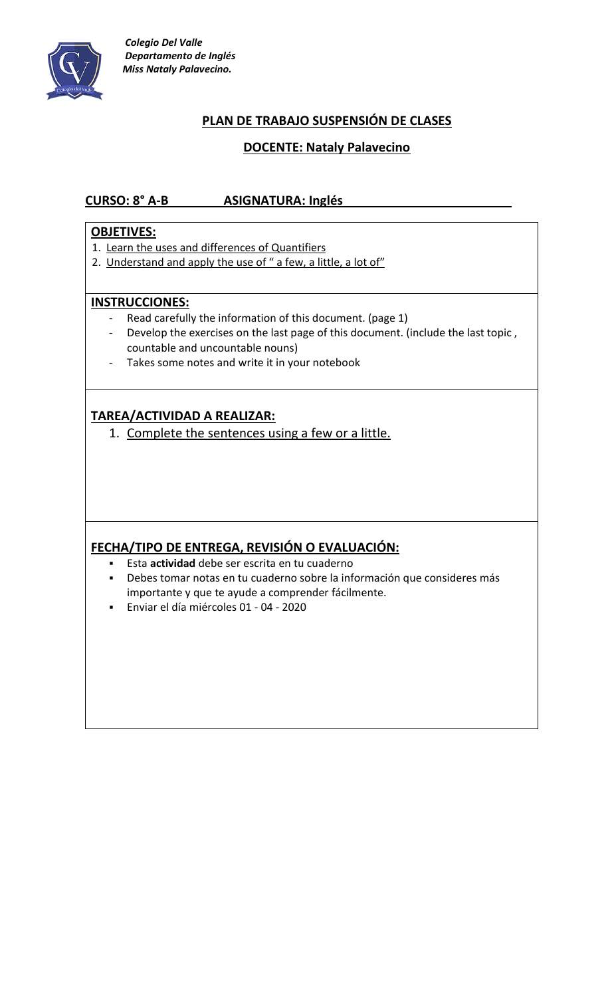

# **PLAN DE TRABAJO SUSPENSIÓN DE CLASES**

### **DOCENTE: Nataly Palavecino**

## **CURSO: 8° A-B ASIGNATURA: Inglés**

#### **OBJETIVES:**

- 1. Learn the uses and differences of Quantifiers
- 2. Understand and apply the use of " a few, a little, a lot of"

#### **INSTRUCCIONES:**

- Read carefully the information of this document. (page 1)
- Develop the exercises on the last page of this document. (include the last topic , countable and uncountable nouns)
- Takes some notes and write it in your notebook

## **TAREA/ACTIVIDAD A REALIZAR:**

1. Complete the sentences using a few or a little.

### **FECHA/TIPO DE ENTREGA, REVISIÓN O EVALUACIÓN:**

- Esta **actividad** debe ser escrita en tu cuaderno
- Debes tomar notas en tu cuaderno sobre la información que consideres más importante y que te ayude a comprender fácilmente.
- Enviar el día miércoles 01 04 2020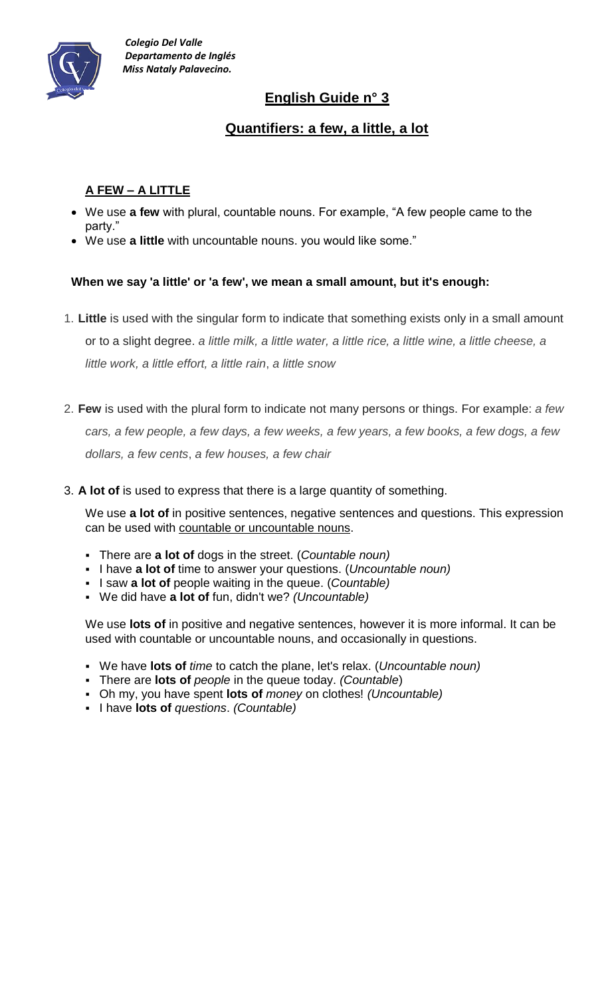

# **English Guide n° 3**

# **Quantifiers: a few, a little, a lot**

# **A FEW – A LITTLE**

- We use **a few** with plural, countable nouns. For example, "A few people came to the party."
- We use **a little** with uncountable nouns. you would like some."

### **When we say 'a little' or 'a few', we mean a small amount, but it's enough:**

- 1. **Little** is used with the singular form to indicate that something exists only in a small amount or to a slight degree. *a little milk, a little water, a little rice, a little wine, a little cheese, a little work, a little effort, a little rain*, *a little snow*
- 2. **Few** is used with the plural form to indicate not many persons or things. For example: *a few* cars, a few people, a few days, a few weeks, a few years, a few books, a few dogs, a few *dollars, a few cents*, *a few houses, a few chair*
- 3. **A lot of** is used to express that there is a large quantity of something.

We use **a lot of** in positive sentences, negative sentences and questions. This expression can be used with [countable or uncountable nouns.](https://www.grammar.cl/Notes/Countable_Uncountable_Nouns.htm)

- There are **a lot of** dogs in the street. (*Countable noun)*
- I have **a lot of** time to answer your questions. (*Uncountable noun*)
- I saw **a lot of** people waiting in the queue. (*Countable)*
- We did have **a lot of** fun, didn't we? *(Uncountable)*

We use **lots of** in positive and negative sentences, however it is more informal. It can be used with countable or uncountable nouns, and occasionally in questions.

- We have **lots of** *time* to catch the plane, let's relax. (*Uncountable noun)*
- There are **lots of** *people* in the queue today. *(Countable*)
- Oh my, you have spent **lots of** *money* on clothes! *(Uncountable)*
- I have **lots of** *questions*. *(Countable)*